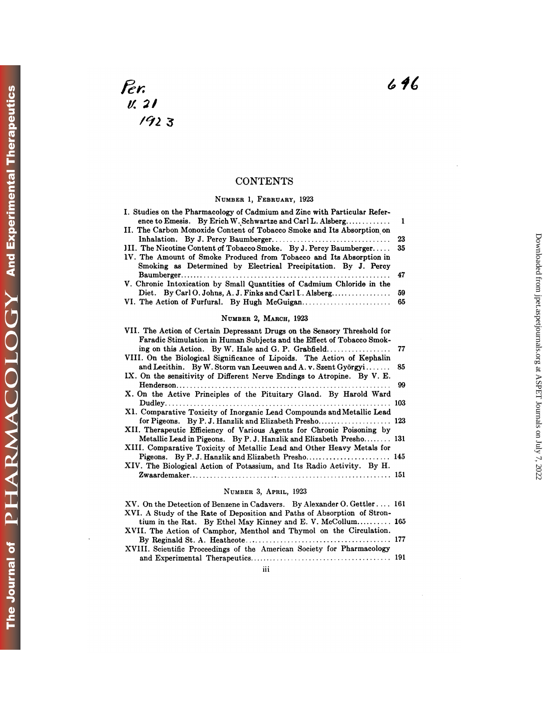Downloaded from [jpet.aspetjournals.org](http://jpet.aspetjournals.org/) at ASPET Journals on July 7, 2022

Downloaded from jpet.aspetjournals.org at ASPET Journals on July 7, 2022

# Per.<br>U. 21<br>1923

# **CONTENTS**

### **NUMBER 1, FEBRUARY,** <sup>1923</sup>

| <b>CONTENTS</b>                                                                                                                                                                                                       |      |
|-----------------------------------------------------------------------------------------------------------------------------------------------------------------------------------------------------------------------|------|
| NUMBER 1, FEBRUARY, 1923                                                                                                                                                                                              |      |
| I. Studies on the Pharmacology of Cadmium and Zinc with Particular Refer-<br>ence to Emesis. By Erich W. Schwartze and Carl L. Alsberg<br>II. The Carbon Monoxide Content of Tobacco Smoke and Its Absorption on      |      |
|                                                                                                                                                                                                                       |      |
| <b>JII.</b> The Nicotine Content of Tobacco Smoke. By J. Percy Baumberger 35<br>IV. The Amount of Smoke Produced from Tobacco and Its Absorption in<br>Smoking as Determined by Electrical Precipitation. By J. Percy |      |
| V. Chronic Intoxication by Small Quantities of Cadmium Chloride in the                                                                                                                                                | - 47 |
| Diet. By Carl O. Johns, A. J. Finks and Carl I. Alsberg                                                                                                                                                               | 59   |
|                                                                                                                                                                                                                       | -65  |
|                                                                                                                                                                                                                       |      |

## NUMBER 2, **MARCH,** 1923

| NUMBER 2, MARCH, 1923                                                                                                                                |     |
|------------------------------------------------------------------------------------------------------------------------------------------------------|-----|
| VII. The Action of Certain Depressant Drugs on the Sensory Threshold for<br>Faradic Stimulation in Human Subjects and the Effect of Tobacco Smok-    | 77  |
| VIII. On the Biological Significance of Lipoids. The Action of Kephalin                                                                              |     |
| and Lecithin. By W. Storm van Leeuwen and A. v. Szent Györgyi<br>IX. On the sensitivity of Different Nerve Endings to Atropine. By V. E.             | 85  |
|                                                                                                                                                      | 99  |
| X. On the Active Principles of the Pituitary Gland. By Harold Ward                                                                                   | 103 |
| X1. Comparative Toxicity of Inorganic Lead Compounds and Metallic Lead<br>for Pigeons. By P.J. Hanzlik and Elizabeth Presho                          | 123 |
| XII. Therapeutic Efficiency of Various Agents for Chronic Poisoning by                                                                               |     |
| Metallic Lead in Pigeons. By P. J. Hanzlik and Elizabeth Presho 131<br>XIII. Comparative Toxicity of Metallic Lead and Other Heavy Metals for        |     |
| Pigeons. By P.J. Hanzlik and Elizabeth Presho 145                                                                                                    |     |
| XIV. The Biological Action of Potassium, and Its Radio Activity. By H.                                                                               |     |
| NUMBER 3, APRIL, 1923                                                                                                                                |     |
| XV. On the Detection of Benzene in Cadavers. By Alexander O. Gettler 161<br>XVI. A Study of the Rate of Deposition and Paths of Absorption of Stron- |     |

| NUMBER 3, APRIL, 1923                                                                                                                                |  |
|------------------------------------------------------------------------------------------------------------------------------------------------------|--|
| XV. On the Detection of Benzene in Cadavers. By Alexander O. Gettler 161<br>XVI. A Study of the Rate of Deposition and Paths of Absorption of Stron- |  |
| tium in the Rat. By Ethel May Kinney and E. V. McCollum $165$<br>XVII. The Action of Camphor, Menthol and Thymol on the Circulation.                 |  |
| XVIII. Scientific Proceedings of the American Society for Pharmacology                                                                               |  |
|                                                                                                                                                      |  |
| iii                                                                                                                                                  |  |

 $\ddot{\phantom{a}}$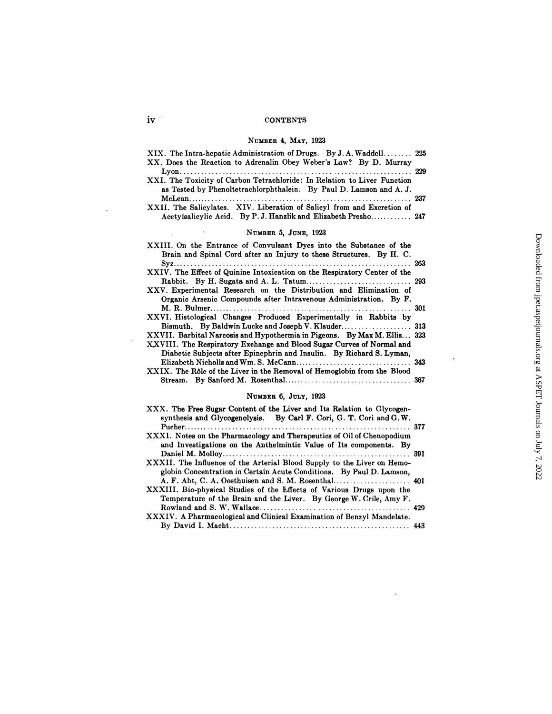# iv **CONTENTS**

# **NUMBER** 4, **MAY,** 1923

| iv<br><b>CONTENTS</b>                                                                                                                                                                                                                                                                                                                                                                                                                                                                                             |            |
|-------------------------------------------------------------------------------------------------------------------------------------------------------------------------------------------------------------------------------------------------------------------------------------------------------------------------------------------------------------------------------------------------------------------------------------------------------------------------------------------------------------------|------------|
| NUMBER 4, MAY, 1923                                                                                                                                                                                                                                                                                                                                                                                                                                                                                               |            |
| $XIX.$ The Intra-hepatic Administration of Drugs. By J.A. Waddell 225<br>XX. Does the Reaction to Adrenalin Obey Weber's Law? By D. Murray                                                                                                                                                                                                                                                                                                                                                                        |            |
| XXI. The Toxicity of Carbon Tetrachloride: In Relation to Liver Function<br>as Tested by Phenoltetrachlorphthalein. By Paul D. Lamson and A. J.                                                                                                                                                                                                                                                                                                                                                                   |            |
| XXII. The Salicylates. XIV. Liberation of Salicyl from and Excretion of                                                                                                                                                                                                                                                                                                                                                                                                                                           | 237        |
| NUMBER 5, JUNE, 1923                                                                                                                                                                                                                                                                                                                                                                                                                                                                                              |            |
| XXIII. On the Entrance of Convulsant Dyes into the Substance of the<br>Brain and Spinal Cord after an Injury to these Structures. By H. C.<br>XXIV. The Effect of Quinine Intoxication on the Respiratory Center of the<br>XXV. Experimental Research on the Distribution and Elimination of<br>Organic Arsenic Compounds after Intravenous Administration. By F.<br>XXVI. Histological Changes Produced Experimentally in Rabbits by<br>XXVII. Barbital Narcosis and Hypothermia in Pigeons. By Max M. Ellis 323 | 263<br>293 |
| XXVIII. The Respiratory Exchange and Blood Sugar Curves of Normal and<br>Diabetic Subjects after Epinephrin and Insulin. By Richard S. Lyman,<br>XXIX. The Rôle of the Liver in the Removal of Hemoglobin from the Blood                                                                                                                                                                                                                                                                                          |            |
| NUMBER 6, JULY, 1923                                                                                                                                                                                                                                                                                                                                                                                                                                                                                              |            |
| XXX. The Free Sugar Content of the Liver and Its Relation to Glycogen-<br>synthesis and Glycogenolysis. By Carl F. Cori, G. T. Cori and G.W.<br>XXX1. Notes on the Pharmacology and Therapeutics of Oil of Chenopodium<br>and Investigations on the Anthelmintic Value of Its components. By                                                                                                                                                                                                                      | 391        |

| synthesis and Glycogenolysis. By Carl F. Cori, G. T. Cori and G.W.      |  |
|-------------------------------------------------------------------------|--|
|                                                                         |  |
| XXXI. Notes on the Pharmacology and Therapeutics of Oil of Chenopodium  |  |
| and Investigations on the Anthelmintic Value of Its components. By      |  |
|                                                                         |  |
| XXXII. The Influence of the Arterial Blood Supply to the Liver on Hemo- |  |
| globin Concentration in Certain Acute Conditions. By Paul D. Lamson,    |  |
|                                                                         |  |
| XXXIII. Bio-physical Studies of the Effects of Various Drugs upon the   |  |
| Temperature of the Brain and the Liver. By George W. Crile, Amy F.      |  |
|                                                                         |  |
| XXXIV. A Pharmacological and Clinical Examination of Benzyl Mandelate.  |  |
|                                                                         |  |
|                                                                         |  |

 $\ddot{\phantom{0}}$ 

 $\ddot{\phantom{1}}$ 

 $\sim$ 

 $\hat{\boldsymbol{\beta}}$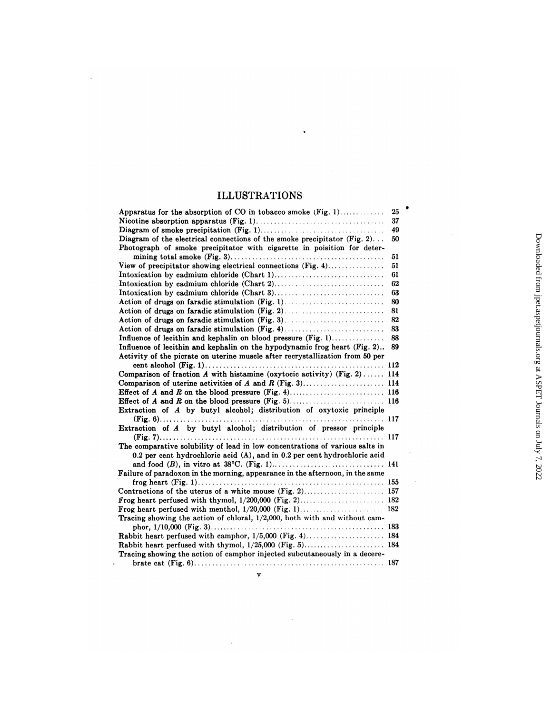# ILLUSTRATIONS

 $\ddot{\phantom{0}}$ 

 $\bar{z}$ 

| <b>ILLUSTRATIONS</b>                                                          |    |                                                                            |
|-------------------------------------------------------------------------------|----|----------------------------------------------------------------------------|
| Apparatus for the absorption of CO in tobacco smoke $(Fig. 1)$                | 25 |                                                                            |
|                                                                               | 37 |                                                                            |
|                                                                               | 49 |                                                                            |
| Diagram of the electrical connections of the smoke precipitator (Fig. 2)      | 50 |                                                                            |
| Photograph of smoke precipitator with cigarette in poisition for deter-       |    | Downloaded from jpet.aspetjournals.org at ASPET Journals on July 7, $2022$ |
|                                                                               | 51 |                                                                            |
| View of precipitator showing electrical connections (Fig. 4)                  | 51 |                                                                            |
|                                                                               | 61 |                                                                            |
|                                                                               | 62 |                                                                            |
|                                                                               | 63 |                                                                            |
| Action of drugs on faradic stimulation (Fig. 1)                               | 80 |                                                                            |
|                                                                               | 81 |                                                                            |
|                                                                               | 82 |                                                                            |
| Action of drugs on faradic stimulation (Fig. 4)                               | 83 |                                                                            |
| Influence of lecithin and kephalin on blood pressure (Fig. 1)                 | 88 |                                                                            |
| Influence of lecithin and kephalin on the hypodynamic frog heart (Fig. 2)     | 89 |                                                                            |
| Activity of the picrate on uterine muscle after recrystallization from 50 per |    |                                                                            |
|                                                                               |    |                                                                            |
| Comparison of fraction A with histamine (oxytocic activity) (Fig. 2) 114      |    |                                                                            |
|                                                                               |    |                                                                            |
|                                                                               |    |                                                                            |
|                                                                               |    |                                                                            |
| Extraction of A by butyl alcohol; distribution of oxytoxic principle          |    |                                                                            |
|                                                                               |    |                                                                            |
| Extraction of A by butyl alcohol; distribution of pressor principle           |    |                                                                            |
|                                                                               |    |                                                                            |
| The comparative solubility of lead in low concentrations of various salts in  |    |                                                                            |
| 0.2 per cent hydrochloric acid (A), and in 0.2 per cent hydrochloric acid     |    |                                                                            |
|                                                                               |    |                                                                            |
| Failure of paradoxon in the morning, appearance in the afternoon, in the same |    |                                                                            |
|                                                                               |    |                                                                            |
|                                                                               |    |                                                                            |
|                                                                               |    |                                                                            |
|                                                                               |    |                                                                            |
| Tracing showing the action of chloral, 1/2,000, both with and without cam-    |    |                                                                            |
|                                                                               |    |                                                                            |
|                                                                               |    |                                                                            |
| Tracing showing the action of camphor injected subcutaneously in a decere-    |    |                                                                            |
|                                                                               |    |                                                                            |
|                                                                               |    |                                                                            |
| v                                                                             |    |                                                                            |

 $\bar{\beta}$ 

 $\mathcal{A}$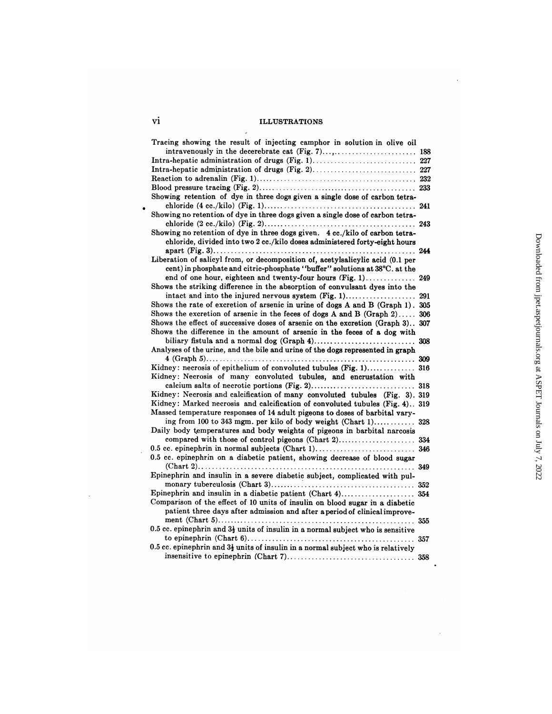# **Vi** ILLUSTRATIONS

| vi<br><b>ILLUSTRATIONS</b>                                                                   |     |
|----------------------------------------------------------------------------------------------|-----|
|                                                                                              |     |
| Tracing showing the result of injecting camphor in solution in olive oil                     |     |
|                                                                                              |     |
|                                                                                              |     |
|                                                                                              |     |
|                                                                                              |     |
|                                                                                              |     |
| Showing retention of dye in three dogs given a single dose of carbon tetra-                  |     |
|                                                                                              |     |
| Showing no retention of dye in three dogs given a single dose of carbon tetra-               |     |
|                                                                                              |     |
| Showing no retention of dye in three dogs given. 4 cc./kilo of carbon tetra-                 |     |
| chloride, divided into two 2 cc./kilo doses administered forty-eight hours                   |     |
|                                                                                              |     |
| Liberation of salicyl from, or decomposition of, acetylsalicylic acid (0.1 per               |     |
| cent) in phosphate and citric-phosphate "buffer" solutions at 38°C. at the                   |     |
| end of one hour, eighteen and twenty-four hours (Fig. 1) 249                                 |     |
| Shows the striking difference in the absorption of convulsant dyes into the                  |     |
| intact and into the injured nervous system (Fig. 1)                                          | 291 |
| Shows the rate of excretion of arsenic in urine of dogs A and B (Graph 1). 305               |     |
| Shows the excretion of arsenic in the feces of dogs A and B $(Graph 2) \ldots$ .             | 306 |
| Shows the effect of successive doses of arsenic on the excretion (Graph 3)307                |     |
| Shows the difference in the amount of arsenic in the feces of a dog with                     |     |
|                                                                                              |     |
| Analyses of the urine, and the bile and urine of the dogs represented in graph               |     |
|                                                                                              |     |
| Kidney: necrosis of epithelium of convoluted tubules (Fig. 1) 316                            |     |
| Kidney: Necrosis of many convoluted tubules, and encrustation with                           |     |
|                                                                                              |     |
| Kidney: Necrosis and calcification of many convoluted tubules (Fig. 3). 319                  |     |
| Kidney: Marked necrosis and calcification of convoluted tubules (Fig. 4) 319                 |     |
| Massed temperature responses of 14 adult pigeons to doses of barbital vary-                  |     |
| ing from 100 to 343 mgm. per kilo of body weight (Chart 1) 328                               |     |
|                                                                                              |     |
| Daily body temperatures and body weights of pigeons in barbital narcosis                     |     |
|                                                                                              |     |
|                                                                                              |     |
| 0.5 cc. epinephrin on a diabetic patient, showing decrease of blood sugar                    |     |
|                                                                                              |     |
| Epinephrin and insulin in a severe diabetic subject, complicated with pul-                   |     |
|                                                                                              |     |
|                                                                                              |     |
| Comparison of the effect of 10 units of insulin on blood sugar in a diabetic                 |     |
| patient three days after admission and after a period of clinical improve-                   |     |
|                                                                                              | 355 |
| 0.5 cc. epinephrin and $3\frac{1}{2}$ units of insulin in a normal subject who is sensitive  |     |
|                                                                                              |     |
| 0.5 cc. epinephrin and $3\frac{1}{2}$ units of insulin in a normal subject who is relatively |     |
|                                                                                              |     |
|                                                                                              |     |

 $\ddot{\phantom{a}}$ 

 $\ddot{\phantom{0}}$ 

 $\bullet$ 

 $\sim$ 

 $\bar{\beta}$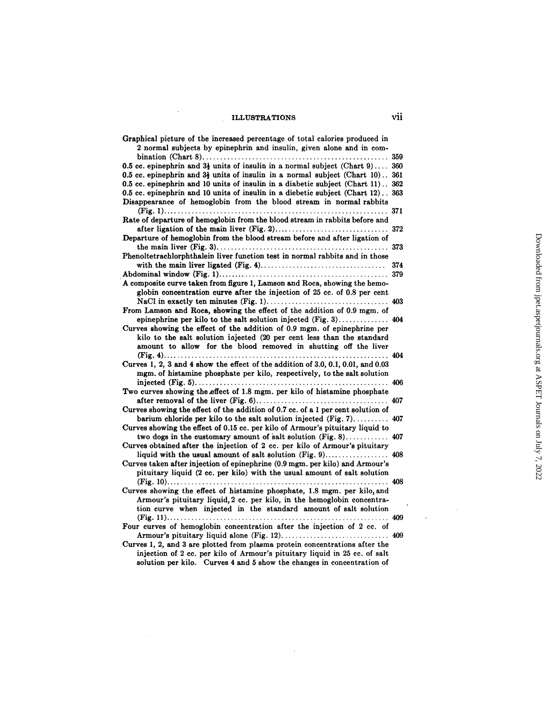| <b>ILLUSTRATIONS</b>                                                                      | vii |
|-------------------------------------------------------------------------------------------|-----|
|                                                                                           |     |
| Graphical picture of the increased percentage of total calories produced in               |     |
| 2 normal subjects by epinephrin and insulin, given alone and in com-                      |     |
| 0.5 cc. epinephrin and $3\frac{1}{2}$ units of insulin in a normal subject (Chart 9) 360  | 359 |
| 0.5 cc. epinephrin and $3\frac{1}{2}$ units of insulin in a normal subject (Chart 10) 361 |     |
| 0.5 cc. epinephrin and 10 units of insulin in a diabetic subject (Chart 11) 362           |     |
| 0.5 cc. epinephrin and 10 units of insulin in a diebetic subject (Chart 12). 363          |     |
| Disappearance of hemoglobin from the blood stream in normal rabbits                       |     |
|                                                                                           | 371 |
| Rate of departure of hemoglobin from the blood stream in rabbits before and               |     |
|                                                                                           |     |
| Departure of hemoglobin from the blood stream before and after ligation of                |     |
|                                                                                           |     |
| Phenoltetrachlorphthalein liver function test in normal rabbits and in those              |     |
|                                                                                           | 374 |
|                                                                                           |     |
| A composite curve taken from figure 1, Lamson and Roca, showing the hemo-                 |     |
| globin concentration curve after the injection of 25 cc. of 0.8 per cent                  |     |
|                                                                                           |     |
| From Lamson and Roca, showing the effect of the addition of 0.9 mgm. of                   |     |
|                                                                                           |     |
| Curves showing the effect of the addition of 0.9 mgm. of epinephrine per                  |     |
| kilo to the salt solution injected (20 per cent less than the standard                    |     |
| amount to allow for the blood removed in shutting off the liver                           |     |
|                                                                                           |     |
| Curves 1, 2, 3 and 4 show the effect of the addition of 3.0, 0.1, 0.01, and 0.03          |     |
| mgm. of histamine phosphate per kilo, respectively, to the salt solution                  |     |
|                                                                                           |     |
| Two curves showing the effect of 1.8 mgm. per kilo of histamine phosphate                 |     |
|                                                                                           |     |
| Curves showing the effect of the addition of 0.7 cc. of a 1 per cent solution of          |     |
|                                                                                           |     |
| Curves showing the effect of 0.15 cc. per kilo of Armour's pituitary liquid to            |     |
| two dogs in the customary amount of salt solution (Fig. 8) 407                            |     |
| Curves obtained after the injection of 2 cc. per kilo of Armour's pituitary               |     |
| Curves taken after injection of epinephrine (0.9 mgm. per kilo) and Armour's              |     |
| pituitary liquid (2 cc. per kilo) with the usual amount of salt solution                  |     |
|                                                                                           |     |
| Curves showing the effect of histamine phosphate, 1.8 mgm. per kilo, and                  |     |
| Armour's pituitary liquid, 2 cc. per kilo, in the hemoglobin concentra-                   |     |
| tion curve when injected in the standard amount of salt solution                          |     |
|                                                                                           |     |
| Four curves of hemoglobin concentration after the injection of 2 cc. of                   |     |
|                                                                                           |     |
| Curves 1, 2, and 3 are plotted from plasma protein concentrations after the               |     |
| injection of 2 cc. per kilo of Armour's pituitary liquid in 25 cc. of salt                |     |
| solution per kilo. Curves 4 and 5 show the changes in concentration of                    |     |
|                                                                                           |     |

 $\mathcal{A}$ 

 $\mathcal{L}^{\text{max}}_{\text{max}}$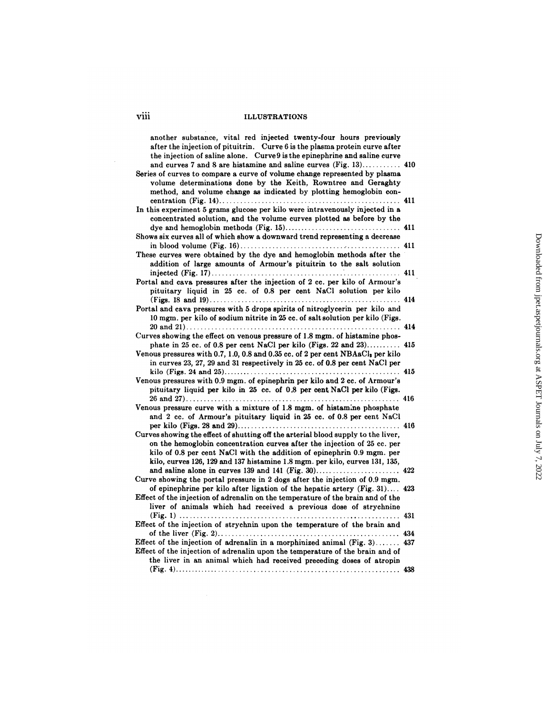# **Viii ILLUSTRATIONS**

| viii<br><b>ILLUSTRATIONS</b>                                                                                                                                                                                                                                                                                                                                                                                                                                                                                              |     |
|---------------------------------------------------------------------------------------------------------------------------------------------------------------------------------------------------------------------------------------------------------------------------------------------------------------------------------------------------------------------------------------------------------------------------------------------------------------------------------------------------------------------------|-----|
| another substance, vital red injected twenty-four hours previously<br>after the injection of pituitrin. Curve 6 is the plasma protein curve after<br>the injection of saline alone. Curve 9 is the epinephrine and saline curve<br>and curves 7 and 8 are histamine and saline curves (Fig. 13) 410<br>Series of curves to compare a curve of volume change represented by plasma<br>volume determinations done by the Keith, Rowntree and Geraghty<br>method, and volume change as indicated by plotting hemoglobin con- |     |
| In this experiment 5 grams glucose per kilo were intravenously injected in a<br>concentrated solution, and the volume curves plotted as before by the                                                                                                                                                                                                                                                                                                                                                                     |     |
| Shows six curves all of which show a downward trend representing a decrease                                                                                                                                                                                                                                                                                                                                                                                                                                               |     |
| These curves were obtained by the dye and hemoglobin methods after the<br>addition of large amounts of Armour's pituitrin to the salt solution                                                                                                                                                                                                                                                                                                                                                                            |     |
| Portal and cava pressures after the injection of 2 cc. per kilo of Armour's<br>pituitary liquid in 25 cc. of 0.8 per cent NaCl solution per kilo                                                                                                                                                                                                                                                                                                                                                                          |     |
| Portal and cava pressures with 5 drops spirits of nitroglycerin per kilo and<br>10 mgm. per kilo of sodium nitrite in 25 cc. of salt solution per kilo (Figs.                                                                                                                                                                                                                                                                                                                                                             |     |
| Curves showing the effect on venous pressure of 1.8 mgm. of histamine phos-                                                                                                                                                                                                                                                                                                                                                                                                                                               |     |
| phate in 25 cc. of 0.8 per cent NaCl per kilo (Figs. 22 and $23$ ) 415<br>Venous pressures with 0.7, 1.0, 0.8 and 0.35 cc. of 2 per cent NBAaCl, per kilo<br>in curves 23, 27, 29 and 31 respectively in 25 cc. of 0.8 per cent NaCl per                                                                                                                                                                                                                                                                                  |     |
| Venous pressures with 0.9 mgm. of epinephrin per kilo and 2 cc. of Armour's<br>pituitary liquid per kilo in 25 cc. of 0.8 per cent NaCl per kilo (Figs.                                                                                                                                                                                                                                                                                                                                                                   |     |
| Venous pressure curve with a mixture of 1.8 mgm. of histamine phosphate<br>and 2 cc. of Armour's pituitary liquid in 25 cc. of 0.8 per cent NaCl                                                                                                                                                                                                                                                                                                                                                                          |     |
| Curves showing the effect of shutting off the arterial blood supply to the liver,<br>on the hemoglobin concentration curves after the injection of 25 cc. per<br>kilo of 0.8 per cent NaCl with the addition of epinephrin 0.9 mgm. per<br>kilo, curves 126, 129 and 137 histamine 1.8 mgm. per kilo, curves 131, 135,                                                                                                                                                                                                    |     |
| and saline alone in curves 139 and 141 (Fig. 30) 422<br>Curve showing the portal pressure in 2 dogs after the injection of 0.9 mgm.                                                                                                                                                                                                                                                                                                                                                                                       |     |
| of epinephrine per kilo after ligation of the hepatic artery (Fig. 31) 423<br>Effect of the injection of adrenalin on the temperature of the brain and of the<br>liver of animals which had received a previous dose of strychnine                                                                                                                                                                                                                                                                                        |     |
| Effect of the injection of strychnin upon the temperature of the brain and                                                                                                                                                                                                                                                                                                                                                                                                                                                |     |
| Effect of the injection of adrenalin in a morphinized animal (Fig. $3$ ) 437<br>Effect of the injection of adrenalin upon the temperature of the brain and of<br>the liver in an animal which had received preceding doses of atropin                                                                                                                                                                                                                                                                                     | 434 |
|                                                                                                                                                                                                                                                                                                                                                                                                                                                                                                                           |     |

 $\sim$   $\sim$